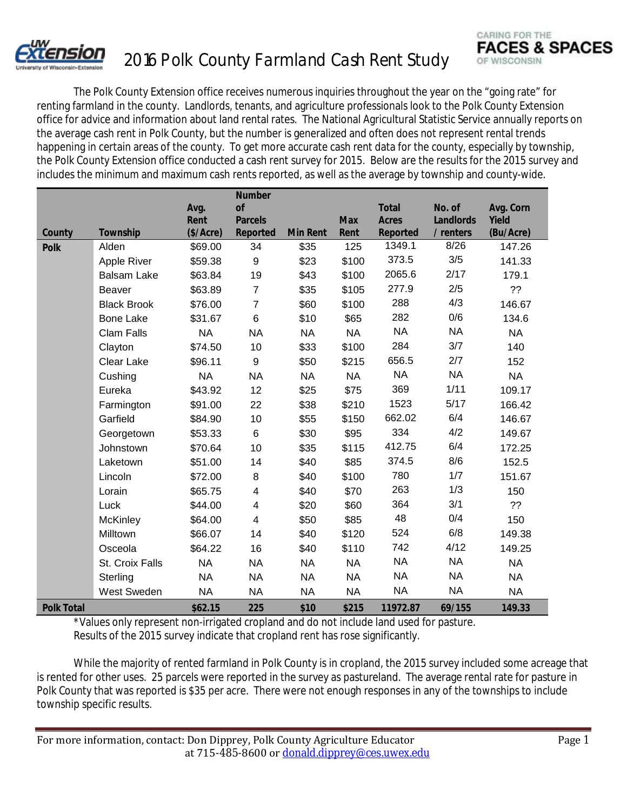

## 2016 Polk County Farmland Cash Rent Study

The Polk County Extension office receives numerous inquiries throughout the year on the "going rate" for renting farmland in the county. Landlords, tenants, and agriculture professionals look to the Polk County Extension office for advice and information about land rental rates. The National Agricultural Statistic Service annually reports on the average cash rent in Polk County, but the number is generalized and often does not represent rental trends happening in certain areas of the county. To get more accurate cash rent data for the county, especially by township, the Polk County Extension office conducted a cash rent survey for 2015. Below are the results for the 2015 survey and includes the minimum and maximum cash rents reported, as well as the average by township and county-wide.

|                   |                    |              | <b>Number</b>           |                 |            |                              |                     |                    |
|-------------------|--------------------|--------------|-------------------------|-----------------|------------|------------------------------|---------------------|--------------------|
|                   |                    | Avg.<br>Rent | of<br><b>Parcels</b>    |                 | <b>Max</b> | <b>Total</b><br><b>Acres</b> | No. of<br>Landlords | Avg. Corn<br>Yield |
| County            | Township           | (\$/Acce)    | Reported                | <b>Min Rent</b> | Rent       | Reported                     | / renters           | (Bu/Acre)          |
| <b>Polk</b>       | Alden              | \$69.00      | 34                      | \$35            | 125        | 1349.1                       | 8/26                | 147.26             |
|                   | Apple River        | \$59.38      | 9                       | \$23            | \$100      | 373.5                        | 3/5                 | 141.33             |
|                   | <b>Balsam Lake</b> | \$63.84      | 19                      | \$43            | \$100      | 2065.6                       | 2/17                | 179.1              |
|                   | Beaver             | \$63.89      | $\overline{7}$          | \$35            | \$105      | 277.9                        | 2/5                 | ??                 |
|                   | <b>Black Brook</b> | \$76.00      | $\overline{7}$          | \$60            | \$100      | 288                          | 4/3                 | 146.67             |
|                   | <b>Bone Lake</b>   | \$31.67      | 6                       | \$10            | \$65       | 282                          | 0/6                 | 134.6              |
|                   | <b>Clam Falls</b>  | <b>NA</b>    | <b>NA</b>               | <b>NA</b>       | <b>NA</b>  | <b>NA</b>                    | <b>NA</b>           | <b>NA</b>          |
|                   | Clayton            | \$74.50      | 10                      | \$33            | \$100      | 284                          | 3/7                 | 140                |
|                   | Clear Lake         | \$96.11      | 9                       | \$50            | \$215      | 656.5                        | 2/7                 | 152                |
|                   | Cushing            | <b>NA</b>    | <b>NA</b>               | <b>NA</b>       | <b>NA</b>  | <b>NA</b>                    | <b>NA</b>           | <b>NA</b>          |
|                   | Eureka             | \$43.92      | 12                      | \$25            | \$75       | 369                          | 1/11                | 109.17             |
|                   | Farmington         | \$91.00      | 22                      | \$38            | \$210      | 1523                         | 5/17                | 166.42             |
|                   | Garfield           | \$84.90      | 10                      | \$55            | \$150      | 662.02                       | 6/4                 | 146.67             |
|                   | Georgetown         | \$53.33      | $\,6$                   | \$30            | \$95       | 334                          | 4/2                 | 149.67             |
|                   | Johnstown          | \$70.64      | 10                      | \$35            | \$115      | 412.75                       | 6/4                 | 172.25             |
|                   | Laketown           | \$51.00      | 14                      | \$40            | \$85       | 374.5                        | 8/6                 | 152.5              |
|                   | Lincoln            | \$72.00      | 8                       | \$40            | \$100      | 780                          | 1/7                 | 151.67             |
|                   | Lorain             | \$65.75      | $\overline{\mathbf{4}}$ | \$40            | \$70       | 263                          | 1/3                 | 150                |
|                   | Luck               | \$44.00      | 4                       | \$20            | \$60       | 364                          | 3/1                 | ??                 |
|                   | McKinley           | \$64.00      | $\overline{\mathbf{4}}$ | \$50            | \$85       | 48                           | 0/4                 | 150                |
|                   | Milltown           | \$66.07      | 14                      | \$40            | \$120      | 524                          | 6/8                 | 149.38             |
|                   | Osceola            | \$64.22      | 16                      | \$40            | \$110      | 742                          | 4/12                | 149.25             |
|                   | St. Croix Falls    | <b>NA</b>    | <b>NA</b>               | <b>NA</b>       | <b>NA</b>  | <b>NA</b>                    | <b>NA</b>           | <b>NA</b>          |
|                   | Sterling           | <b>NA</b>    | <b>NA</b>               | <b>NA</b>       | <b>NA</b>  | <b>NA</b>                    | <b>NA</b>           | <b>NA</b>          |
|                   | West Sweden        | <b>NA</b>    | <b>NA</b>               | <b>NA</b>       | <b>NA</b>  | <b>NA</b>                    | <b>NA</b>           | <b>NA</b>          |
| <b>Polk Total</b> |                    | \$62.15      | 225                     | \$10            | \$215      | 11972.87                     | 69/155              | 149.33             |

\*Values only represent non-irrigated cropland and do not include land used for pasture. Results of the 2015 survey indicate that cropland rent has rose significantly.

While the majority of rented farmland in Polk County is in cropland, the 2015 survey included some acreage that is rented for other uses. 25 parcels were reported in the survey as pastureland. The average rental rate for pasture in Polk County that was reported is \$35 per acre. There were not enough responses in any of the townships to include township specific results.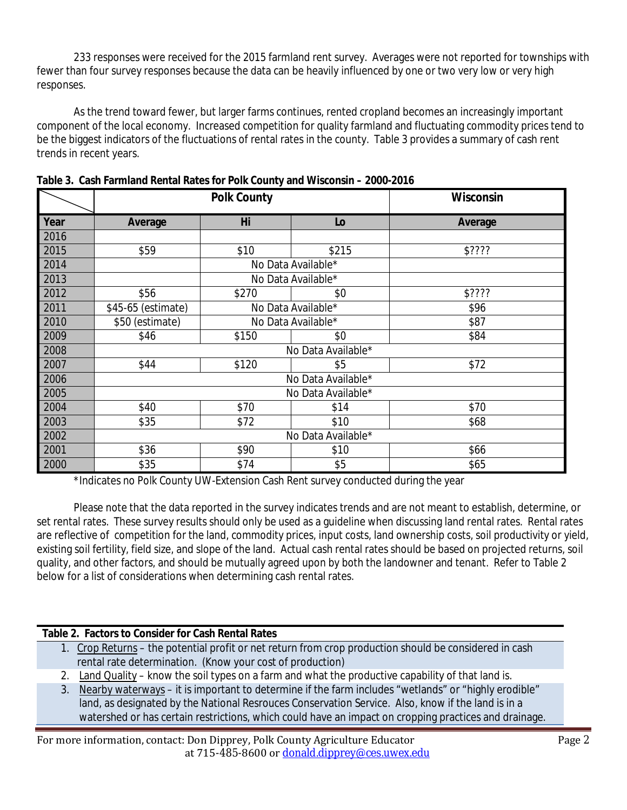233 responses were received for the 2015 farmland rent survey. Averages were not reported for townships with fewer than four survey responses because the data can be heavily influenced by one or two very low or very high responses.

As the trend toward fewer, but larger farms continues, rented cropland becomes an increasingly important component of the local economy. Increased competition for quality farmland and fluctuating commodity prices tend to be the biggest indicators of the fluctuations of rental rates in the county. Table 3 provides a summary of cash rent trends in recent years.

|      |                    | <b>Polk County</b> | Wisconsin          |         |  |  |  |  |
|------|--------------------|--------------------|--------------------|---------|--|--|--|--|
| Year | Average            | Hi                 | Lo                 | Average |  |  |  |  |
| 2016 |                    |                    |                    |         |  |  |  |  |
| 2015 | \$59               | \$10               | \$215              | \$????  |  |  |  |  |
| 2014 |                    |                    | No Data Available* |         |  |  |  |  |
| 2013 |                    | No Data Available* |                    |         |  |  |  |  |
| 2012 | \$56               | \$270              | \$0                | \$????  |  |  |  |  |
| 2011 | \$45-65 (estimate) |                    | No Data Available* | \$96    |  |  |  |  |
| 2010 | \$50 (estimate)    |                    | No Data Available* | \$87    |  |  |  |  |
| 2009 | \$46               | \$150              | \$0                | \$84    |  |  |  |  |
| 2008 | No Data Available* |                    |                    |         |  |  |  |  |
| 2007 | \$44               | \$120              | \$5                | \$72    |  |  |  |  |
| 2006 | No Data Available* |                    |                    |         |  |  |  |  |
| 2005 | No Data Available* |                    |                    |         |  |  |  |  |
| 2004 | \$40               | \$70               | \$14               | \$70    |  |  |  |  |
| 2003 | \$35               | \$72               | \$10               | \$68    |  |  |  |  |
| 2002 | No Data Available* |                    |                    |         |  |  |  |  |
| 2001 | \$36               | \$90               | \$10               | \$66    |  |  |  |  |
| 2000 | \$35               | \$74               | \$5                | \$65    |  |  |  |  |

**Table 3. Cash Farmland Rental Rates for Polk County and Wisconsin – 2000-2016**

\*Indicates no Polk County UW-Extension Cash Rent survey conducted during the year

Please note that the data reported in the survey indicates trends and are not meant to establish, determine, or set rental rates. These survey results should only be used as a guideline when discussing land rental rates. Rental rates are reflective of competition for the land, commodity prices, input costs, land ownership costs, soil productivity or yield, existing soil fertility, field size, and slope of the land. Actual cash rental rates should be based on projected returns, soil quality, and other factors, and should be mutually agreed upon by both the landowner and tenant. Refer to Table 2 below for a list of considerations when determining cash rental rates.

## **Table 2. Factors to Consider for Cash Rental Rates**

- 1. Crop Returns the potential profit or net return from crop production should be considered in cash rental rate determination. (Know your cost of production)
- 2. Land Quality know the soil types on a farm and what the productive capability of that land is.
- 3. Nearby waterways it is important to determine if the farm includes "wetlands" or "highly erodible" land, as designated by the National Resrouces Conservation Service. Also, know if the land is in a watershed or has certain restrictions, which could have an impact on cropping practices and drainage.